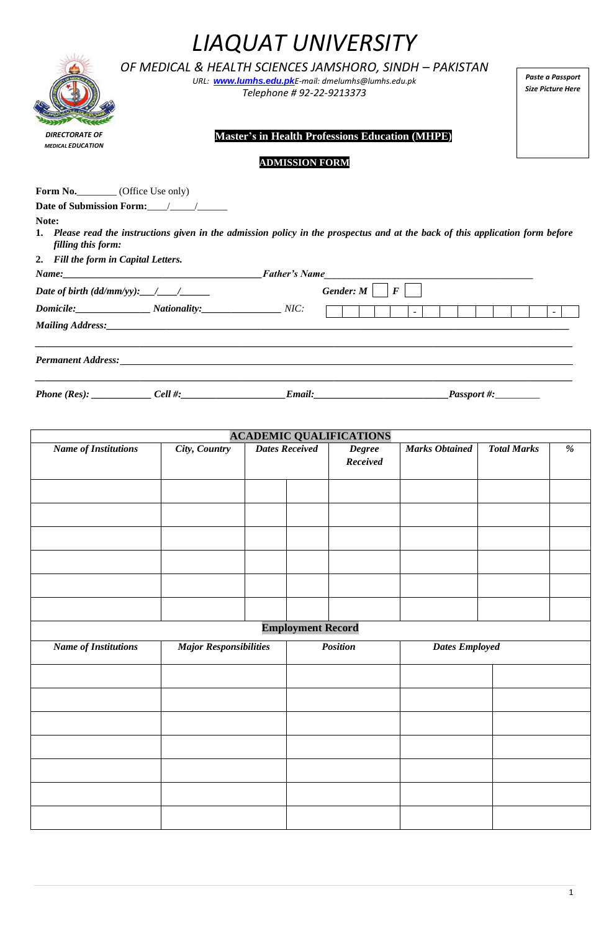|                                                   | OF MEDICAL & HEALTH SCIENCES JAMSHORO, SINDH – PAKISTAN<br>URL: www.lumhs.edu.pkE-mail: dmelumhs@lumhs.edu.pk<br>Telephone # 92-22-9213373 | Paste a Passpo<br>Size Picture He |
|---------------------------------------------------|--------------------------------------------------------------------------------------------------------------------------------------------|-----------------------------------|
| <b>DIRECTORATE OF</b><br><b>MEDICAL EDUCATION</b> | <b>Master's in Health Professions Education (MHPE)</b>                                                                                     |                                   |
|                                                   | <b>ADMISSION FORM</b>                                                                                                                      |                                   |
| <b>Form No.</b> (Office Use only)                 |                                                                                                                                            |                                   |
|                                                   | <b>Date of Submission Form:</b>                                                                                                            |                                   |
| Note:                                             |                                                                                                                                            |                                   |
| filling this form:                                | 1. Please read the instructions given in the admission policy in the prospectus and at the back of this application form before            |                                   |
| 2. Fill the form in Capital Letters.              |                                                                                                                                            |                                   |
|                                                   |                                                                                                                                            |                                   |

| Name:                                                                                     | <b>Father's Name</b>     |                         |  |
|-------------------------------------------------------------------------------------------|--------------------------|-------------------------|--|
| Date of birth $(dd/mm/yy)$ : $\_\_\_\_\_\_\_\_\_\_\_\_\_\_\_\_\_\_\_\_\_\_\_\_\_\_\_\_\_$ |                          | Gender: $M \mid F \mid$ |  |
| <b>Domicile:</b>                                                                          | <b>Nationality:</b> NIC: | $\sim$                  |  |
|                                                                                           |                          |                         |  |
|                                                                                           |                          |                         |  |
| <b>Permanent Address:</b>                                                                 |                          |                         |  |

*\_\_\_\_\_\_\_\_\_\_\_\_\_\_\_\_\_\_\_\_\_\_\_\_\_\_\_\_\_\_\_\_\_\_\_\_\_\_\_\_\_\_\_\_\_\_\_\_\_\_\_\_\_\_\_\_\_\_\_\_\_\_\_\_\_\_\_\_\_\_\_\_\_\_\_\_\_\_\_\_\_\_\_\_\_\_\_\_\_\_\_\_\_\_\_\_\_\_\_\_\_\_\_\_\_\_\_\_*

*Phone (Res): \_\_\_\_\_\_\_\_\_\_\_\_ Cell #:\_\_\_\_\_\_\_\_\_\_\_\_\_\_\_\_\_\_\_\_\_Email:\_\_\_\_\_\_\_\_\_\_\_\_\_\_\_\_\_\_\_\_\_\_\_\_\_\_\_Passport #:\_\_\_\_\_\_\_\_\_*

**ACADEMIC QUALIFICATIONS**<br>*City*, *Country* Dates Received Degree *Name of Institutions City, Country Dates Received Degree Received Marks Obtained Total Marks %* **Employment Record** *Name of Institutions Major Responsibilities Position Dates Employed*

## *LIAQUAT UNIVERSITY*

*Paste a Passport Size Picture Here*